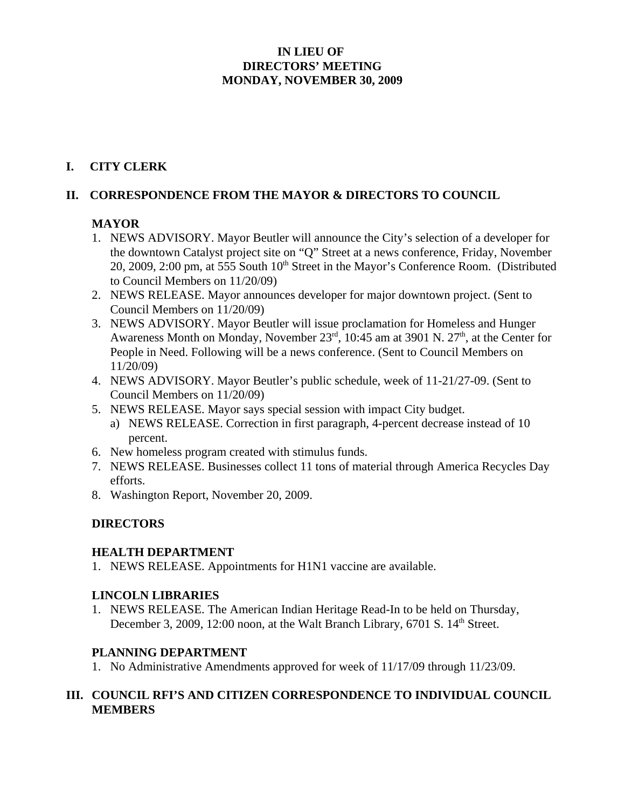### **IN LIEU OF DIRECTORS' MEETING MONDAY, NOVEMBER 30, 2009**

# **I. CITY CLERK**

### **II. CORRESPONDENCE FROM THE MAYOR & DIRECTORS TO COUNCIL**

### **MAYOR**

- 1. NEWS ADVISORY. Mayor Beutler will announce the City's selection of a developer for the downtown Catalyst project site on "Q" Street at a news conference, Friday, November 20, 2009, 2:00 pm, at 555 South  $10<sup>th</sup>$  Street in the Mayor's Conference Room. (Distributed to Council Members on 11/20/09)
- 2. NEWS RELEASE. Mayor announces developer for major downtown project. (Sent to Council Members on 11/20/09)
- 3. NEWS ADVISORY. Mayor Beutler will issue proclamation for Homeless and Hunger Awareness Month on Monday, November  $23<sup>rd</sup>$ , 10:45 am at 3901 N.  $27<sup>th</sup>$ , at the Center for People in Need. Following will be a news conference. (Sent to Council Members on 11/20/09)
- 4. NEWS ADVISORY. Mayor Beutler's public schedule, week of 11-21/27-09. (Sent to Council Members on 11/20/09)
- 5. NEWS RELEASE. Mayor says special session with impact City budget.
	- a) NEWS RELEASE. Correction in first paragraph, 4-percent decrease instead of 10 percent.
- 6. New homeless program created with stimulus funds.
- 7. NEWS RELEASE. Businesses collect 11 tons of material through America Recycles Day efforts.
- 8. Washington Report, November 20, 2009.

### **DIRECTORS**

#### **HEALTH DEPARTMENT**

1. NEWS RELEASE. Appointments for H1N1 vaccine are available.

### **LINCOLN LIBRARIES**

1. NEWS RELEASE. The American Indian Heritage Read-In to be held on Thursday, December 3, 2009, 12:00 noon, at the Walt Branch Library, 6701 S. 14<sup>th</sup> Street.

### **PLANNING DEPARTMENT**

1. No Administrative Amendments approved for week of 11/17/09 through 11/23/09.

## **III. COUNCIL RFI'S AND CITIZEN CORRESPONDENCE TO INDIVIDUAL COUNCIL MEMBERS**